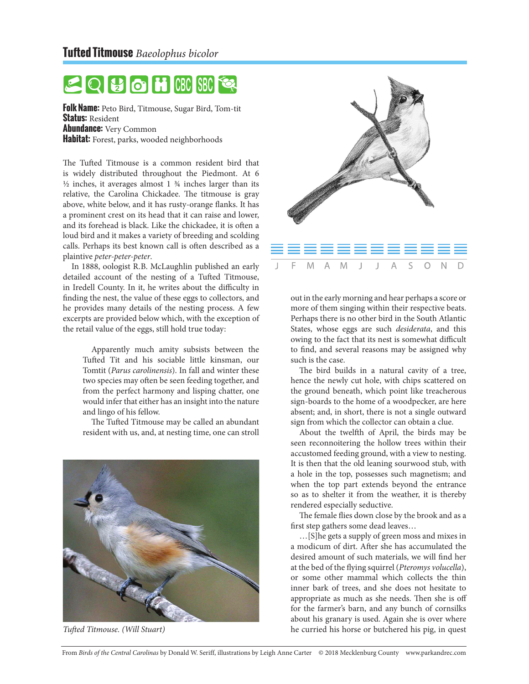

**Folk Name:** Peto Bird, Titmouse, Sugar Bird, Tom-tit **Status:** Resident **Abundance:** Very Common **Habitat:** Forest, parks, wooded neighborhoods

The Tufted Titmouse is a common resident bird that is widely distributed throughout the Piedmont. At 6  $\frac{1}{2}$  inches, it averages almost 1  $\frac{3}{4}$  inches larger than its relative, the Carolina Chickadee. The titmouse is gray above, white below, and it has rusty-orange flanks. It has a prominent crest on its head that it can raise and lower, and its forehead is black. Like the chickadee, it is often a loud bird and it makes a variety of breeding and scolding calls. Perhaps its best known call is often described as a plaintive *peter-peter-peter*.

In 1888, oologist R.B. McLaughlin published an early detailed account of the nesting of a Tufted Titmouse, in Iredell County. In it, he writes about the difficulty in finding the nest, the value of these eggs to collectors, and he provides many details of the nesting process. A few excerpts are provided below which, with the exception of the retail value of the eggs, still hold true today:

> Apparently much amity subsists between the Tufted Tit and his sociable little kinsman, our Tomtit (*Parus carolinensis*). In fall and winter these two species may often be seen feeding together, and from the perfect harmony and lisping chatter, one would infer that either has an insight into the nature and lingo of his fellow.

> The Tufted Titmouse may be called an abundant resident with us, and, at nesting time, one can stroll





out in the early morning and hear perhaps a score or more of them singing within their respective beats. Perhaps there is no other bird in the South Atlantic States, whose eggs are such *desiderata*, and this owing to the fact that its nest is somewhat difficult to find, and several reasons may be assigned why such is the case.

The bird builds in a natural cavity of a tree, hence the newly cut hole, with chips scattered on the ground beneath, which point like treacherous sign-boards to the home of a woodpecker, are here absent; and, in short, there is not a single outward sign from which the collector can obtain a clue.

About the twelfth of April, the birds may be seen reconnoitering the hollow trees within their accustomed feeding ground, with a view to nesting. It is then that the old leaning sourwood stub, with a hole in the top, possesses such magnetism; and when the top part extends beyond the entrance so as to shelter it from the weather, it is thereby rendered especially seductive.

The female flies down close by the brook and as a first step gathers some dead leaves…

…[S]he gets a supply of green moss and mixes in a modicum of dirt. After she has accumulated the desired amount of such materials, we will find her at the bed of the flying squirrel (*Pteromys volucella*), or some other mammal which collects the thin inner bark of trees, and she does not hesitate to appropriate as much as she needs. Then she is off for the farmer's barn, and any bunch of cornsilks about his granary is used. Again she is over where *Tufted Titmouse. (Will Stuart)* he curried his horse or butchered his pig, in quest